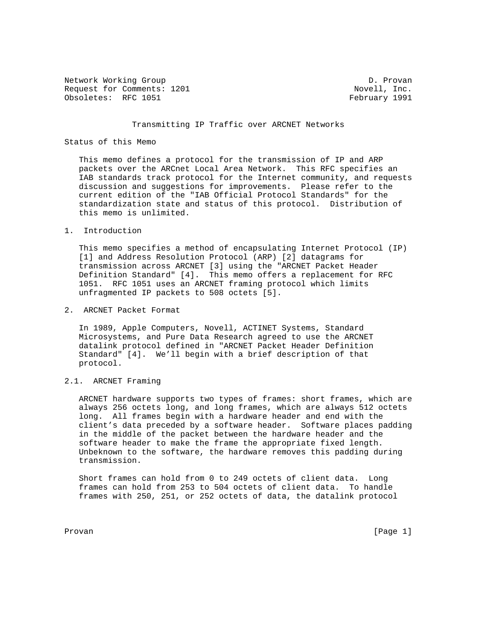Network Working Group D. Provan Request for Comments: 1201 Novell, Inc. Obsoletes: RFC 1051 **February 1991** 

## Transmitting IP Traffic over ARCNET Networks

# Status of this Memo

 This memo defines a protocol for the transmission of IP and ARP packets over the ARCnet Local Area Network. This RFC specifies an IAB standards track protocol for the Internet community, and requests discussion and suggestions for improvements. Please refer to the current edition of the "IAB Official Protocol Standards" for the standardization state and status of this protocol. Distribution of this memo is unlimited.

1. Introduction

 This memo specifies a method of encapsulating Internet Protocol (IP) [1] and Address Resolution Protocol (ARP) [2] datagrams for transmission across ARCNET [3] using the "ARCNET Packet Header Definition Standard" [4]. This memo offers a replacement for RFC 1051. RFC 1051 uses an ARCNET framing protocol which limits unfragmented IP packets to 508 octets [5].

2. ARCNET Packet Format

 In 1989, Apple Computers, Novell, ACTINET Systems, Standard Microsystems, and Pure Data Research agreed to use the ARCNET datalink protocol defined in "ARCNET Packet Header Definition Standard" [4]. We'll begin with a brief description of that protocol.

2.1. ARCNET Framing

 ARCNET hardware supports two types of frames: short frames, which are always 256 octets long, and long frames, which are always 512 octets long. All frames begin with a hardware header and end with the client's data preceded by a software header. Software places padding in the middle of the packet between the hardware header and the software header to make the frame the appropriate fixed length. Unbeknown to the software, the hardware removes this padding during transmission.

 Short frames can hold from 0 to 249 octets of client data. Long frames can hold from 253 to 504 octets of client data. To handle frames with 250, 251, or 252 octets of data, the datalink protocol

Provan [Page 1]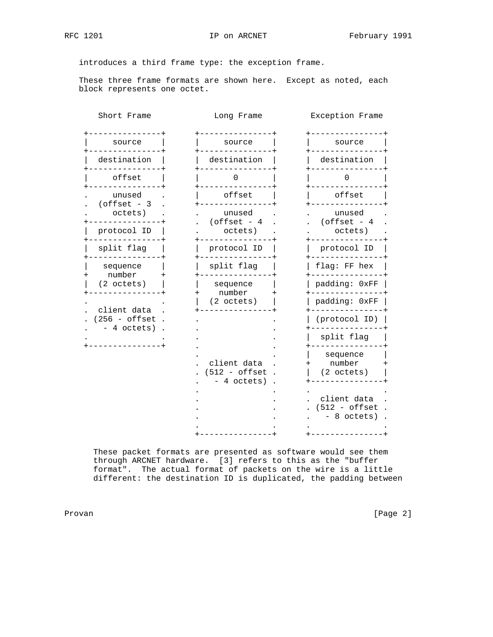introduces a third frame type: the exception frame.

 These three frame formats are shown here. Except as noted, each block represents one octet.

| Short Frame                         | Long Frame                                          | Exception Frame                                       |
|-------------------------------------|-----------------------------------------------------|-------------------------------------------------------|
| source                              | source                                              | source                                                |
| destination                         | destination                                         | destination                                           |
| offset                              |                                                     |                                                       |
| unused<br>$(offset - 3)$<br>octets) | offset                                              | offset                                                |
|                                     | unused<br>$(offset - 4)$<br>octets)                 | unused<br>(offset - $4$                               |
| protocol ID                         |                                                     | octets)                                               |
| split flag                          | protocol ID                                         | protocol ID                                           |
| sequence<br>number                  | split flag                                          | flag: FF hex                                          |
| $(2 \text{ octets})$                | sequence                                            | padding: 0xFF                                         |
| client data                         | number<br>$(2 \text{ octets})$                      | padding: 0xFF                                         |
| $(256 - \text{offset})$             | client data<br>$(512 - \text{offset})$<br>4 octets) | (protocol ID)                                         |
| - 4 octets)                         |                                                     | split flag                                            |
|                                     |                                                     | sequence<br>number<br>$(2 \text{ octets})$            |
|                                     |                                                     | client data<br>$(512 - \text{offset})$<br>- 8 octets) |
|                                     |                                                     |                                                       |

 These packet formats are presented as software would see them through ARCNET hardware. [3] refers to this as the "buffer format". The actual format of packets on the wire is a little different: the destination ID is duplicated, the padding between

Provan [Page 2]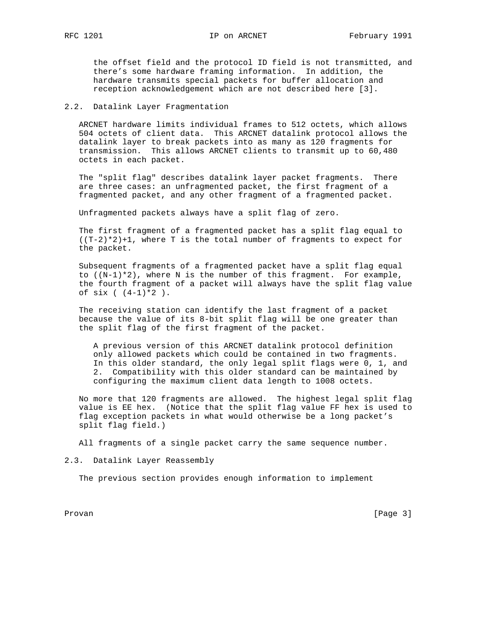the offset field and the protocol ID field is not transmitted, and there's some hardware framing information. In addition, the hardware transmits special packets for buffer allocation and reception acknowledgement which are not described here [3].

## 2.2. Datalink Layer Fragmentation

 ARCNET hardware limits individual frames to 512 octets, which allows 504 octets of client data. This ARCNET datalink protocol allows the datalink layer to break packets into as many as 120 fragments for transmission. This allows ARCNET clients to transmit up to 60,480 octets in each packet.

 The "split flag" describes datalink layer packet fragments. There are three cases: an unfragmented packet, the first fragment of a fragmented packet, and any other fragment of a fragmented packet.

Unfragmented packets always have a split flag of zero.

 The first fragment of a fragmented packet has a split flag equal to  $((T-2)*2)+1$ , where T is the total number of fragments to expect for the packet.

 Subsequent fragments of a fragmented packet have a split flag equal to  $((N-1)*2)$ , where N is the number of this fragment. For example, the fourth fragment of a packet will always have the split flag value of six  $($   $(4-1)*2$   $).$ 

 The receiving station can identify the last fragment of a packet because the value of its 8-bit split flag will be one greater than the split flag of the first fragment of the packet.

 A previous version of this ARCNET datalink protocol definition only allowed packets which could be contained in two fragments. In this older standard, the only legal split flags were 0, 1, and 2. Compatibility with this older standard can be maintained by configuring the maximum client data length to 1008 octets.

 No more that 120 fragments are allowed. The highest legal split flag value is EE hex. (Notice that the split flag value FF hex is used to flag exception packets in what would otherwise be a long packet's split flag field.)

All fragments of a single packet carry the same sequence number.

2.3. Datalink Layer Reassembly

The previous section provides enough information to implement

Provan [Page 3]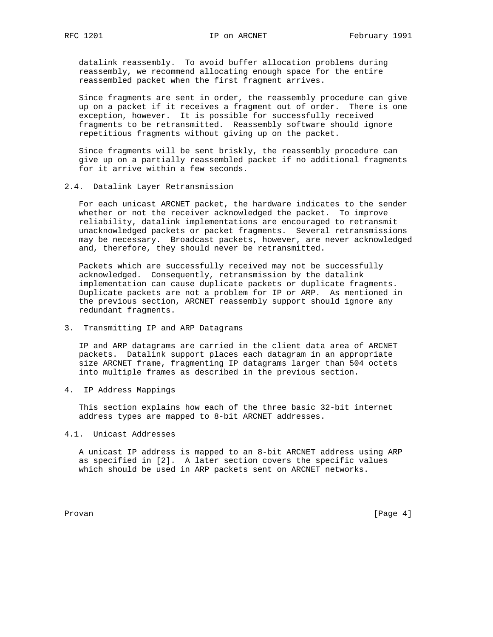datalink reassembly. To avoid buffer allocation problems during reassembly, we recommend allocating enough space for the entire reassembled packet when the first fragment arrives.

 Since fragments are sent in order, the reassembly procedure can give up on a packet if it receives a fragment out of order. There is one exception, however. It is possible for successfully received fragments to be retransmitted. Reassembly software should ignore repetitious fragments without giving up on the packet.

 Since fragments will be sent briskly, the reassembly procedure can give up on a partially reassembled packet if no additional fragments for it arrive within a few seconds.

#### 2.4. Datalink Layer Retransmission

 For each unicast ARCNET packet, the hardware indicates to the sender whether or not the receiver acknowledged the packet. To improve reliability, datalink implementations are encouraged to retransmit unacknowledged packets or packet fragments. Several retransmissions may be necessary. Broadcast packets, however, are never acknowledged and, therefore, they should never be retransmitted.

 Packets which are successfully received may not be successfully acknowledged. Consequently, retransmission by the datalink implementation can cause duplicate packets or duplicate fragments. Duplicate packets are not a problem for IP or ARP. As mentioned in the previous section, ARCNET reassembly support should ignore any redundant fragments.

## 3. Transmitting IP and ARP Datagrams

 IP and ARP datagrams are carried in the client data area of ARCNET packets. Datalink support places each datagram in an appropriate size ARCNET frame, fragmenting IP datagrams larger than 504 octets into multiple frames as described in the previous section.

4. IP Address Mappings

 This section explains how each of the three basic 32-bit internet address types are mapped to 8-bit ARCNET addresses.

### 4.1. Unicast Addresses

 A unicast IP address is mapped to an 8-bit ARCNET address using ARP as specified in [2]. A later section covers the specific values which should be used in ARP packets sent on ARCNET networks.

Provan [Page 4]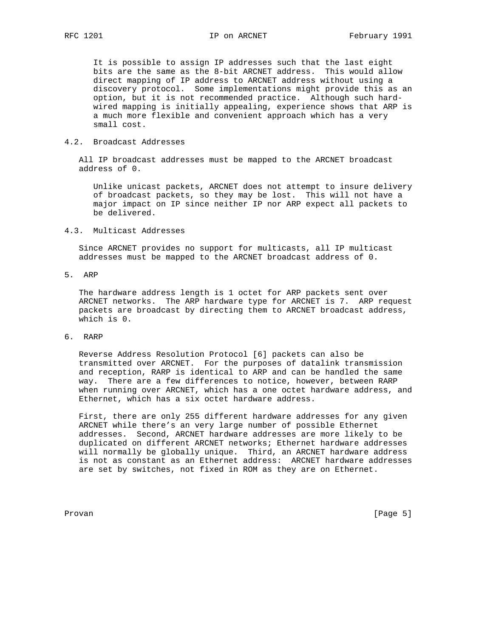It is possible to assign IP addresses such that the last eight bits are the same as the 8-bit ARCNET address. This would allow direct mapping of IP address to ARCNET address without using a discovery protocol. Some implementations might provide this as an option, but it is not recommended practice. Although such hard wired mapping is initially appealing, experience shows that ARP is a much more flexible and convenient approach which has a very small cost.

## 4.2. Broadcast Addresses

 All IP broadcast addresses must be mapped to the ARCNET broadcast address of 0.

 Unlike unicast packets, ARCNET does not attempt to insure delivery of broadcast packets, so they may be lost. This will not have a major impact on IP since neither IP nor ARP expect all packets to be delivered.

#### 4.3. Multicast Addresses

 Since ARCNET provides no support for multicasts, all IP multicast addresses must be mapped to the ARCNET broadcast address of 0.

# 5. ARP

 The hardware address length is 1 octet for ARP packets sent over ARCNET networks. The ARP hardware type for ARCNET is 7. ARP request packets are broadcast by directing them to ARCNET broadcast address, which is 0.

# 6. RARP

 Reverse Address Resolution Protocol [6] packets can also be transmitted over ARCNET. For the purposes of datalink transmission and reception, RARP is identical to ARP and can be handled the same way. There are a few differences to notice, however, between RARP when running over ARCNET, which has a one octet hardware address, and Ethernet, which has a six octet hardware address.

 First, there are only 255 different hardware addresses for any given ARCNET while there's an very large number of possible Ethernet addresses. Second, ARCNET hardware addresses are more likely to be duplicated on different ARCNET networks; Ethernet hardware addresses will normally be globally unique. Third, an ARCNET hardware address is not as constant as an Ethernet address: ARCNET hardware addresses are set by switches, not fixed in ROM as they are on Ethernet.

Provan [Page 5]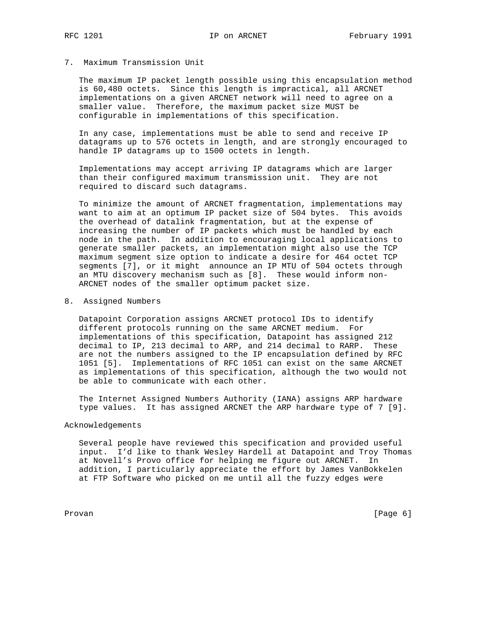### 7. Maximum Transmission Unit

 The maximum IP packet length possible using this encapsulation method is 60,480 octets. Since this length is impractical, all ARCNET implementations on a given ARCNET network will need to agree on a smaller value. Therefore, the maximum packet size MUST be configurable in implementations of this specification.

 In any case, implementations must be able to send and receive IP datagrams up to 576 octets in length, and are strongly encouraged to handle IP datagrams up to 1500 octets in length.

 Implementations may accept arriving IP datagrams which are larger than their configured maximum transmission unit. They are not required to discard such datagrams.

 To minimize the amount of ARCNET fragmentation, implementations may want to aim at an optimum IP packet size of 504 bytes. This avoids the overhead of datalink fragmentation, but at the expense of increasing the number of IP packets which must be handled by each node in the path. In addition to encouraging local applications to generate smaller packets, an implementation might also use the TCP maximum segment size option to indicate a desire for 464 octet TCP segments [7], or it might announce an IP MTU of 504 octets through an MTU discovery mechanism such as [8]. These would inform non- ARCNET nodes of the smaller optimum packet size.

#### 8. Assigned Numbers

 Datapoint Corporation assigns ARCNET protocol IDs to identify different protocols running on the same ARCNET medium. For implementations of this specification, Datapoint has assigned 212 decimal to IP, 213 decimal to ARP, and 214 decimal to RARP. These are not the numbers assigned to the IP encapsulation defined by RFC 1051 [5]. Implementations of RFC 1051 can exist on the same ARCNET as implementations of this specification, although the two would not be able to communicate with each other.

 The Internet Assigned Numbers Authority (IANA) assigns ARP hardware type values. It has assigned ARCNET the ARP hardware type of 7 [9].

# Acknowledgements

 Several people have reviewed this specification and provided useful input. I'd like to thank Wesley Hardell at Datapoint and Troy Thomas at Novell's Provo office for helping me figure out ARCNET. In addition, I particularly appreciate the effort by James VanBokkelen at FTP Software who picked on me until all the fuzzy edges were

Provan [Page 6]